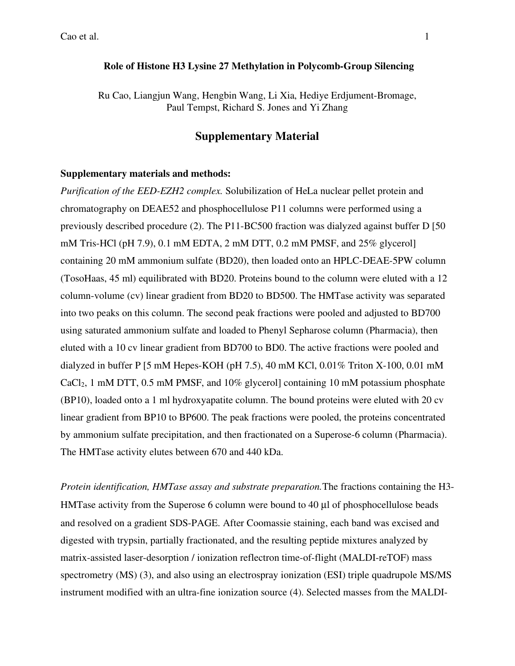#### **Role of Histone H3 Lysine 27 Methylation in Polycomb-Group Silencing**

Ru Cao, Liangjun Wang, Hengbin Wang, Li Xia, Hediye Erdjument-Bromage, Paul Tempst, Richard S. Jones and Yi Zhang

### **Supplementary Material**

#### **Supplementary materials and methods:**

*Purification of the EED-EZH2 complex.* Solubilization of HeLa nuclear pellet protein and chromatography on DEAE52 and phosphocellulose P11 columns were performed using a previously described procedure (2). The P11-BC500 fraction was dialyzed against buffer D [50 mM Tris-HCl (pH 7.9), 0.1 mM EDTA, 2 mM DTT, 0.2 mM PMSF, and 25% glycerol] containing 20 mM ammonium sulfate (BD20), then loaded onto an HPLC-DEAE-5PW column (TosoHaas, 45 ml) equilibrated with BD20. Proteins bound to the column were eluted with a 12 column-volume (cv) linear gradient from BD20 to BD500. The HMTase activity was separated into two peaks on this column. The second peak fractions were pooled and adjusted to BD700 using saturated ammonium sulfate and loaded to Phenyl Sepharose column (Pharmacia), then eluted with a 10 cv linear gradient from BD700 to BD0. The active fractions were pooled and dialyzed in buffer P [5 mM Hepes-KOH (pH 7.5), 40 mM KCl, 0.01% Triton X-100, 0.01 mM  $CaCl<sub>2</sub>$ , 1 mM DTT, 0.5 mM PMSF, and 10% glyceroll containing 10 mM potassium phosphate (BP10), loaded onto a 1 ml hydroxyapatite column. The bound proteins were eluted with 20 cv linear gradient from BP10 to BP600. The peak fractions were pooled, the proteins concentrated by ammonium sulfate precipitation, and then fractionated on a Superose-6 column (Pharmacia). The HMTase activity elutes between 670 and 440 kDa.

*Protein identification, HMTase assay and substrate preparation.*The fractions containing the H3- HMTase activity from the Superose 6 column were bound to 40 µl of phosphocellulose beads and resolved on a gradient SDS-PAGE. After Coomassie staining, each band was excised and digested with trypsin, partially fractionated, and the resulting peptide mixtures analyzed by matrix-assisted laser-desorption / ionization reflectron time-of-flight (MALDI-reTOF) mass spectrometry (MS) (3), and also using an electrospray ionization (ESI) triple quadrupole MS/MS instrument modified with an ultra-fine ionization source (4). Selected masses from the MALDI-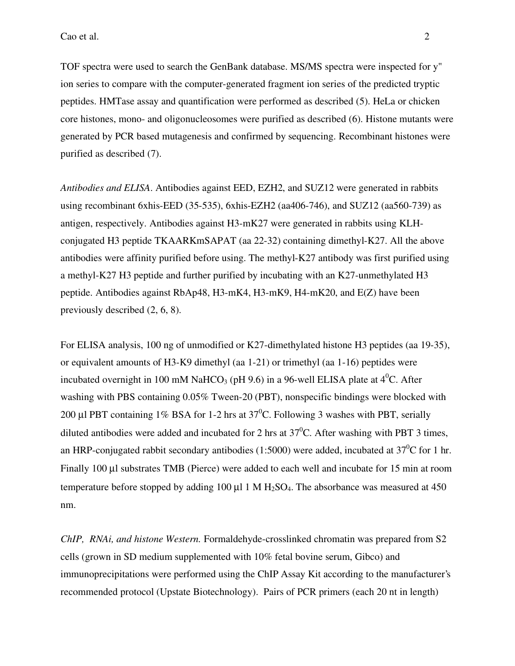TOF spectra were used to search the GenBank database. MS/MS spectra were inspected for y" ion series to compare with the computer-generated fragment ion series of the predicted tryptic peptides. HMTase assay and quantification were performed as described (5). HeLa or chicken core histones, mono- and oligonucleosomes were purified as described (6). Histone mutants were generated by PCR based mutagenesis and confirmed by sequencing. Recombinant histones were purified as described (7).

*Antibodies and ELISA*. Antibodies against EED, EZH2, and SUZ12 were generated in rabbits using recombinant 6xhis-EED (35-535), 6xhis-EZH2 (aa406-746), and SUZ12 (aa560-739) as antigen, respectively. Antibodies against H3-mK27 were generated in rabbits using KLHconjugated H3 peptide TKAARKmSAPAT (aa 22-32) containing dimethyl-K27. All the above antibodies were affinity purified before using. The methyl-K27 antibody was first purified using a methyl-K27 H3 peptide and further purified by incubating with an K27-unmethylated H3 peptide. Antibodies against RbAp48, H3-mK4, H3-mK9, H4-mK20, and E(Z) have been previously described (2, 6, 8).

For ELISA analysis, 100 ng of unmodified or K27-dimethylated histone H3 peptides (aa 19-35), or equivalent amounts of H3-K9 dimethyl (aa 1-21) or trimethyl (aa 1-16) peptides were incubated overnight in 100 mM NaHCO<sub>3</sub> (pH 9.6) in a 96-well ELISA plate at  $4^0C$ . After washing with PBS containing 0.05% Tween-20 (PBT), nonspecific bindings were blocked with 200 µl PBT containing 1% BSA for 1-2 hrs at  $37^{\circ}$ C. Following 3 washes with PBT, serially diluted antibodies were added and incubated for 2 hrs at  $37^0C$ . After washing with PBT 3 times, an HRP-conjugated rabbit secondary antibodies (1:5000) were added, incubated at 37<sup>0</sup>C for 1 hr. Finally 100 µl substrates TMB (Pierce) were added to each well and incubate for 15 min at room temperature before stopped by adding 100  $\mu$  1 M H<sub>2</sub>SO<sub>4</sub>. The absorbance was measured at 450 nm.

*ChIP, RNAi, and histone Western.* Formaldehyde-crosslinked chromatin was prepared from S2 cells (grown in SD medium supplemented with 10% fetal bovine serum, Gibco) and immunoprecipitations were performed using the ChIP Assay Kit according to the manufacturer's recommended protocol (Upstate Biotechnology). Pairs of PCR primers (each 20 nt in length)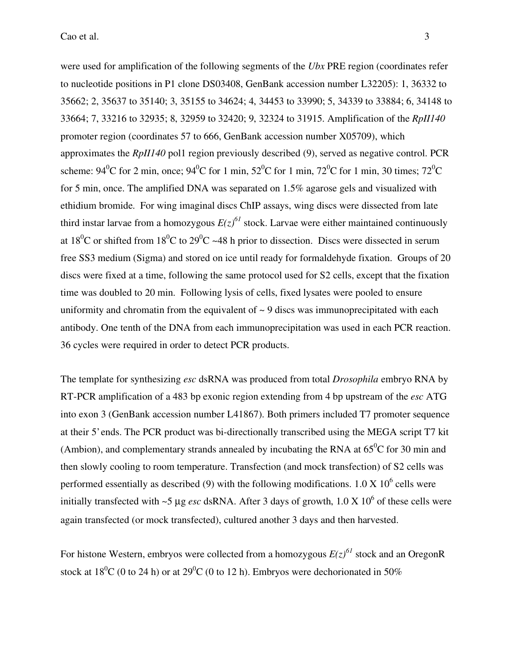were used for amplification of the following segments of the *Ubx* PRE region (coordinates refer to nucleotide positions in P1 clone DS03408, GenBank accession number L32205): 1, 36332 to 35662; 2, 35637 to 35140; 3, 35155 to 34624; 4, 34453 to 33990; 5, 34339 to 33884; 6, 34148 to 33664; 7, 33216 to 32935; 8, 32959 to 32420; 9, 32324 to 31915. Amplification of the *RpII140* promoter region (coordinates 57 to 666, GenBank accession number X05709), which approximates the *RpII140* pol1 region previously described (9), served as negative control. PCR scheme:  $94^0C$  for 2 min, once;  $94^0C$  for 1 min,  $52^0C$  for 1 min,  $72^0C$  for 1 min, 30 times;  $72^0C$ for 5 min, once. The amplified DNA was separated on 1.5% agarose gels and visualized with ethidium bromide. For wing imaginal discs ChIP assays, wing discs were dissected from late third instar larvae from a homozygous  $E(z)^{61}$  stock. Larvae were either maintained continuously at 18<sup>0</sup>C or shifted from 18<sup>0</sup>C to 29<sup>0</sup>C ~48 h prior to dissection. Discs were dissected in serum free SS3 medium (Sigma) and stored on ice until ready for formaldehyde fixation. Groups of 20 discs were fixed at a time, following the same protocol used for S2 cells, except that the fixation time was doubled to 20 min. Following lysis of cells, fixed lysates were pooled to ensure

uniformity and chromatin from the equivalent of  $\sim$  9 discs was immunoprecipitated with each antibody. One tenth of the DNA from each immunoprecipitation was used in each PCR reaction. 36 cycles were required in order to detect PCR products.

The template for synthesizing *esc* dsRNA was produced from total *Drosophila* embryo RNA by RT-PCR amplification of a 483 bp exonic region extending from 4 bp upstream of the *esc* ATG into exon 3 (GenBank accession number L41867). Both primers included T7 promoter sequence at their 5' ends. The PCR product was bi-directionally transcribed using the MEGA script T7 kit (Ambion), and complementary strands annealed by incubating the RNA at  $65^{\circ}$ C for 30 min and then slowly cooling to room temperature. Transfection (and mock transfection) of S2 cells was performed essentially as described (9) with the following modifications.  $1.0 \text{ X } 10^6$  cells were initially transfected with  $\sim$ 5 µg *esc* dsRNA. After 3 days of growth, 1.0 X 10<sup>6</sup> of these cells were again transfected (or mock transfected), cultured another 3 days and then harvested.

For histone Western, embryos were collected from a homozygous  $E(z)^{61}$  stock and an OregonR stock at 18<sup>0</sup>C (0 to 24 h) or at 29<sup>0</sup>C (0 to 12 h). Embryos were dechorionated in 50%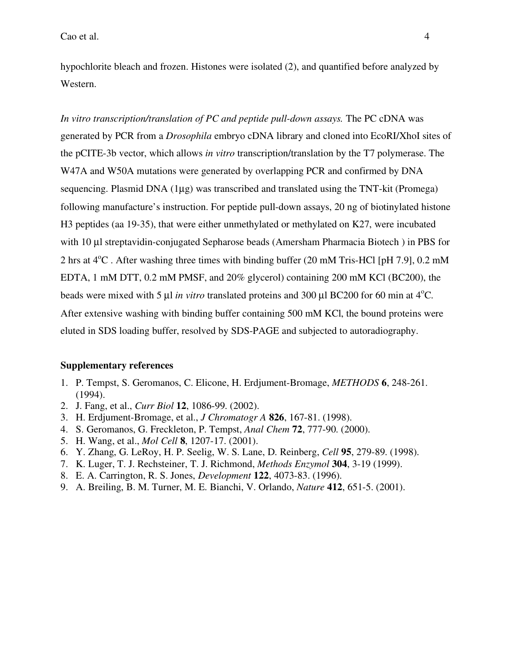hypochlorite bleach and frozen. Histones were isolated (2), and quantified before analyzed by Western.

*In vitro transcription/translation of PC and peptide pull-down assays.* The PC cDNA was generated by PCR from a *Drosophila* embryo cDNA library and cloned into EcoRI/XhoI sites of the pCITE-3b vector, which allows *in vitro* transcription/translation by the T7 polymerase. The W47A and W50A mutations were generated by overlapping PCR and confirmed by DNA sequencing. Plasmid DNA (1µg) was transcribed and translated using the TNT-kit (Promega) following manufacture's instruction. For peptide pull-down assays, 20 ng of biotinylated histone H3 peptides (aa 19-35), that were either unmethylated or methylated on K27, were incubated with 10 µl streptavidin-conjugated Sepharose beads (Amersham Pharmacia Biotech) in PBS for 2 hrs at  $4^{\circ}$ C. After washing three times with binding buffer (20 mM Tris-HCl [pH 7.9], 0.2 mM EDTA, 1 mM DTT, 0.2 mM PMSF, and 20% glycerol) containing 200 mM KCl (BC200), the beads were mixed with 5 µl *in vitro* translated proteins and 300 µl BC200 for 60 min at 4<sup>o</sup>C. After extensive washing with binding buffer containing 500 mM KCl, the bound proteins were eluted in SDS loading buffer, resolved by SDS-PAGE and subjected to autoradiography.

#### **Supplementary references**

- 1. P. Tempst, S. Geromanos, C. Elicone, H. Erdjument-Bromage, *METHODS* **6**, 248-261. (1994).
- 2. J. Fang, et al., *Curr Biol* **12**, 1086-99. (2002).
- 3. H. Erdjument-Bromage, et al., *J Chromatogr A* **826**, 167-81. (1998).
- 4. S. Geromanos, G. Freckleton, P. Tempst, *Anal Chem* **72**, 777-90. (2000).
- 5. H. Wang, et al., *Mol Cell* **8**, 1207-17. (2001).
- 6. Y. Zhang, G. LeRoy, H. P. Seelig, W. S. Lane, D. Reinberg, *Cell* **95**, 279-89. (1998).
- 7. K. Luger, T. J. Rechsteiner, T. J. Richmond, *Methods Enzymol* **304**, 3-19 (1999).
- 8. E. A. Carrington, R. S. Jones, *Development* **122**, 4073-83. (1996).
- 9. A. Breiling, B. M. Turner, M. E. Bianchi, V. Orlando, *Nature* **412**, 651-5. (2001).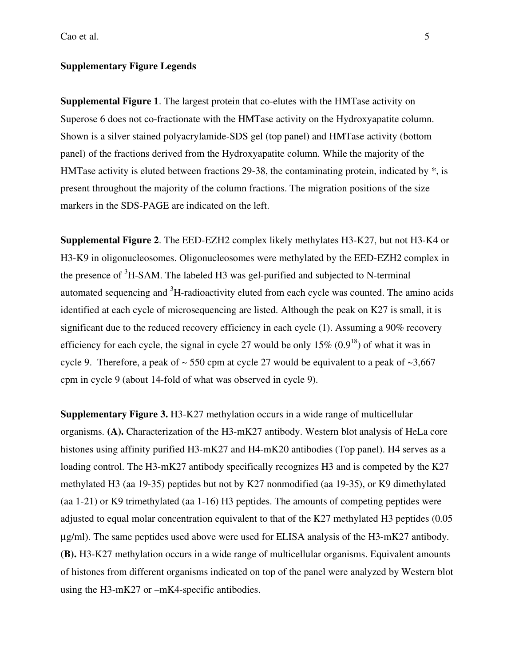$\alpha$  et al.  $\qquad \qquad$  5

#### **Supplementary Figure Legends**

**Supplemental Figure 1**. The largest protein that co-elutes with the HMTase activity on Superose 6 does not co-fractionate with the HMTase activity on the Hydroxyapatite column. Shown is a silver stained polyacrylamide-SDS gel (top panel) and HMTase activity (bottom panel) of the fractions derived from the Hydroxyapatite column. While the majority of the HMTase activity is eluted between fractions 29-38, the contaminating protein, indicated by \*, is present throughout the majority of the column fractions. The migration positions of the size markers in the SDS-PAGE are indicated on the left.

**Supplemental Figure 2**. The EED-EZH2 complex likely methylates H3-K27, but not H3-K4 or H3-K9 in oligonucleosomes. Oligonucleosomes were methylated by the EED-EZH2 complex in the presence of <sup>3</sup>H-SAM. The labeled H3 was gel-purified and subjected to N-terminal automated sequencing and <sup>3</sup>H-radioactivity eluted from each cycle was counted. The amino acids identified at each cycle of microsequencing are listed. Although the peak on K27 is small, it is significant due to the reduced recovery efficiency in each cycle (1). Assuming a 90% recovery efficiency for each cycle, the signal in cycle 27 would be only 15%  $(0.9^{18})$  of what it was in cycle 9. Therefore, a peak of  $\sim$  550 cpm at cycle 27 would be equivalent to a peak of  $\sim$ 3,667 cpm in cycle 9 (about 14-fold of what was observed in cycle 9).

**Supplementary Figure 3.** H3-K27 methylation occurs in a wide range of multicellular organisms. **(A).** Characterization of the H3-mK27 antibody. Western blot analysis of HeLa core histones using affinity purified H3-mK27 and H4-mK20 antibodies (Top panel). H4 serves as a loading control. The H3-mK27 antibody specifically recognizes H3 and is competed by the K27 methylated H3 (aa 19-35) peptides but not by K27 nonmodified (aa 19-35), or K9 dimethylated (aa 1-21) or K9 trimethylated (aa 1-16) H3 peptides. The amounts of competing peptides were adjusted to equal molar concentration equivalent to that of the K27 methylated H3 peptides (0.05 µg/ml). The same peptides used above were used for ELISA analysis of the H3-mK27 antibody. **(B).** H3-K27 methylation occurs in a wide range of multicellular organisms. Equivalent amounts of histones from different organisms indicated on top of the panel were analyzed by Western blot using the H3-mK27 or –mK4-specific antibodies.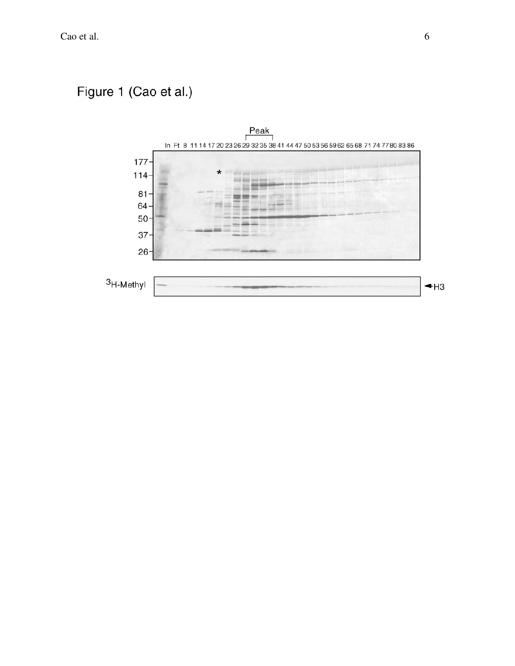# Figure 1 (Cao et al.)

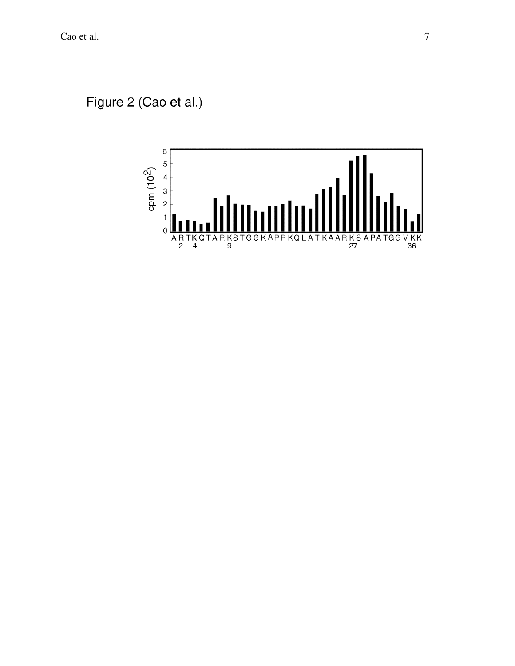Figure 2 (Cao et al.)